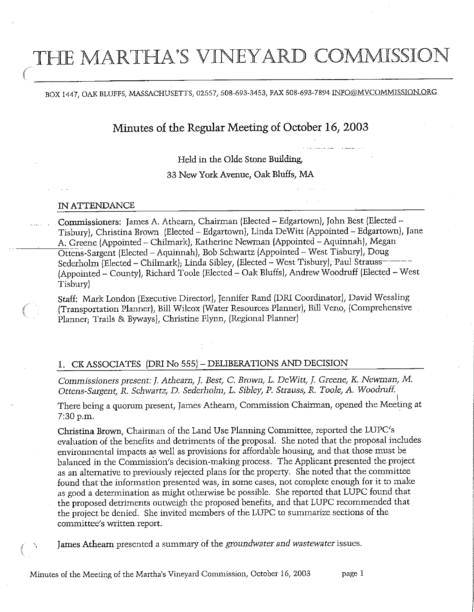# THE MARTHA'S VINEYARD COMMISSION

## BOX 1447, OAK BLUFFS, MASSACHUSETTS, 02557, 508-693-3453, FAX 508-693-7894 INFO@MVCOMMISSION.ORG

## Minutes of the Regular Meeting of October 16, 2003

Held in the Olde Stone Building,

33 New York Avenue, Oak Bluffs, MA

#### IN ATTENDANCE

Commissioners: James A. Athearn, Chairman (Elected - Edgartown), John Best (Elected -Tisbury), Christina Brown (Elected - Edgartown), Linda DeWitt (Appointed - Edgartown), Jane A. Greene (Appointed - Chilmark), Katherine Newman (Appointed - Aquinnah), Megan Ottens-Sargent (Elected - Aquinnah), Bob Schwartz (Appointed - West Tisbury), Doug Sederholm (Elected - Chilmark); Linda Sibley, (Elected - West Tisbury), Paul Strauss-(Appointed - County)/ Richard Toole (Elected - Oak Bluffs)/ Andrew Woodruff (Elected - West Tisbury)

Staff: Mark London (Executive Director), Jennifer Rand (DRI Coordinator), David Wessling (Transportation Planner), Bill Wilcox (Water Resources Planner), Bill Veno, (Comprehensive Planner; Trails & Byways), Christine Flynn, (Regional Planner)

## 1. CKASSOCIATES (DRI No 555)-DELIBERATIONS AND DECISION

Commissioners present: J. Athearn, J. Best, C. Brown, L. DeWitt/ /, Greene, K. Newman, M. Ottens-Sargent, R. Schwartz, D. Sederholm, L. Sibley, P. Strauss, R. Toole, A. Woodruff.

There being a quorum present, James Athearn, Commission Chairman, opened the Meeting at 7:30 p.m.

Christina Brown, Chairman of the Land Use Planning Committee, reported the LUPC's evaluation of the benefits and detriments of the proposal. She noted that the proposal includes environmental impacts as well as provisions for affordable housmg/ and that those must be balanced in the Commission's decision-making process. The Applicant presented the project as an alternative to previously rejected plans for die property. She noted that the committee found that the information presented was, in some cases, not complete enough for it to make as good a determination as might otherwise be possible. She reported that LUPC found that the proposed detriments outweigh the proposed benefits, and that LUPC recommended that the project be denied. She invited members of the LUPC to summarize sections of the committee's written report.

James Athearn presented a summary of the groundwater and wastewater issues.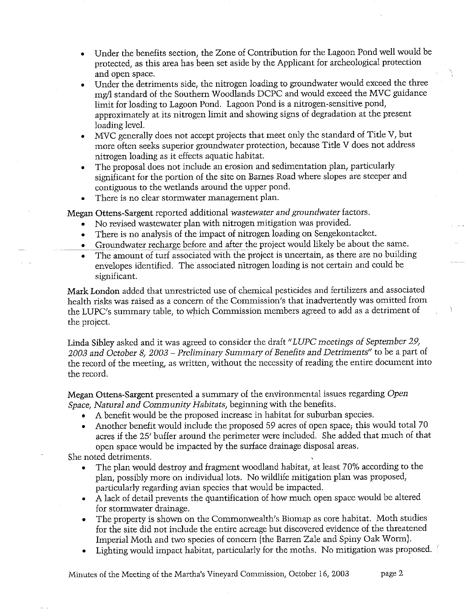- Under the benefits section, the Zone of Contribution for the Lagoon Pond well would be protected, as this area has been set aside by the Applicant for archeological protection and open space.
- Under the detriments side, the nitrogen loading to groundwater would exceed the three mg/1 standard of the Southern Woodlands DCPC and would exceed the MVC guidance limit for loading to Lagoon Pond. Lagoon Pond is a nitrogen-sensitive pond, approximately at its nitrogen limit and showing signs of degradation at the present loading level.
- MVC generally does not accept projects that meet only the standard of Title V/ but more often seeks superior groundwater protection, because Title V does not address nitrogen loading as it effects aquatic habitat.
- The proposal does not include an erosion and sedimentation plan, particularly significant for the portion of the site on Barnes Road where slopes are steeper and contiguous to the wetlands around the upper pond.
- There is no clear stormwater management plan.

Megan Ottens-Sargent reported additional wastewater and groundwater factors.

- No revised wastewater plan with nitrogen mitigation was provided.
- There is no analysis of the impact of nitrogen loading on Sengekontacket.
- Groundwater recharge before and after the project would likely be about the same.
- The amount of turf associated with the project is uncertain, as there are no building envelopes identified. The associated nitrogen loading is not certain and could be significant.

Mark London added that unrestricted use of chemical pesticides and fertilizers and associated health risks was raised as a concern of the Commission's that inadvertently was omitted from the LUPC's summary table, to which Commission members agreed to add as a detriment of the project.

Linda Sibley asked and it was agreed to consider the draft "LUPC meetings of September 29, 2003 and October 8, 2003 - Preliminary Summary of Benefits and Detriments" to be a part of the record of the meeting, as written, without the necessity of reading the entire document into the record.

Megan Ottens-Sargent presented a summary of the environmental issues regarding Open Space, Natural and Community Habitats, beginning with the benefits.

- A benefit would be the proposed increase in habitat for suburban species.
- Another benefit would include the proposed 59 acres of open space; this would total 70 acres if the 25/ buffer around the perimeter were included. She added that much of that open space would be impacted by the surface drainage disposal areas.

She noted detriments.

- The plan would destroy and fragment woodland habitat, at least 70% according to the plan, possibly more on individual lots. No wildlife mitigation plan was proposed, particularly regarding avian species that would be impacted.
- A lack of detail prevents the quantification of how much open space would be altered for stormwater drainage.
- The property is shown on the Commonwealth's Biomap as core habitat. Moth studies for the site did not include the entire acreage but discovered evidence of the threatened Imperial Moth and two species of concern (the Barren Zale and Spiny Oak Worm).
- Lighting would impact habitat, particularly for the moths. No mitigation was proposed.

Minutes of the Meeting of the Martha's Vineyard Commission, October 16, 2003 page 2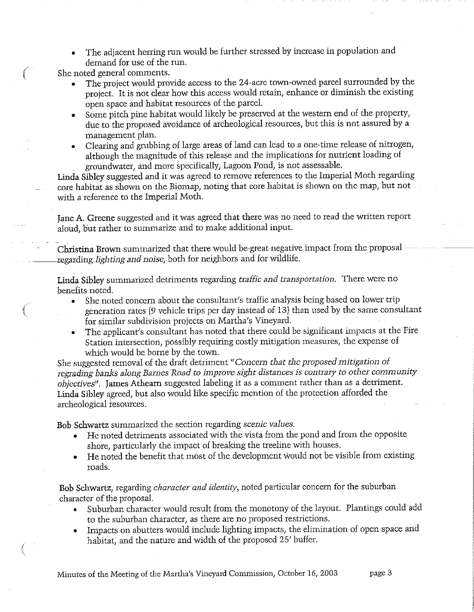• The adjacent herring run would be further stressed by increase in population and demand for use of the run.

She noted general comments.

- The project would provide access to the 24-acre town-owned parcel surrounded by the project. It is not dear how this access would retain, enhance or diminish the existing open space and habitat resources of the parcel.
- Some pitch pine habitat would likely be preserved at the western end of the property, due to the proposed avoidance of archeological resources, but this is not assured by a management plan.
- Clearing and grubbing of large areas of land can lead to a one-time release of nitrogen, although the magnitude of this release and the implications for nutrient loading of groundwater, and more specifically, Lagoon Pond, is not assessable.

Linda Sibley suggested and it was agreed to remove references to the Imperial Moth regarding core habitat as shown on the Biomap, noting that core habitat is shown on the map, but not with a reference to the Imperial Moth.

Jane A. Greene suggested and it was agreed that there was no need to read the written report aloud, but rather to summarize and to make additional input.

Christina Brown summarized that there would be great negative impact from the proposal regarding-lighting and noise, both for neighbors and for wildlife.

Linda Sibley summarized detriments regarding traffic and transportation. There were no benefits noted.

- She noted concern about the consultant's traffic analysis being based on lower trip generation rates (9 vehicle trips per day instead of 13) than used by the same consultant for similar subdivision projects on Martha's Vineyard.
- The applicant's consultant has noted that there could be significant impacts at the Fire Station intersection, possibly requiring costly mitigation measures, the expense of which would be borne by the town.

She suggested removal of the draft detriment "Concern that the proposed mitigation of regrading banks along Barnes Road to improve sight distances is contrary to other community objectives". James Atheam suggested labeling it as a comment rather than as a detriment. Linda Sibley agreed, but also would like specific mention of the protection afforded the archeological resources.

Bob Schwartz summarized the section regarding scenic values.

- He noted detriments associated with the vista from the pond and from the opposite shore, particularly the impact of breaking the treeline with houses.
- He noted the benefit that most of the development would not be visible from existing roads.

Bob Schwartz, regarding *character and identity*, noted particular concern for the suburban character of the proposal.

- Suburban character would result from the monotony of the layout. Plantings could add to the suburban character, as there are no proposed restrictions.
- Impacts on abutters would include lighting impacts, the elimination of open space and habitat, and the nature and width of the proposed 25' buffer.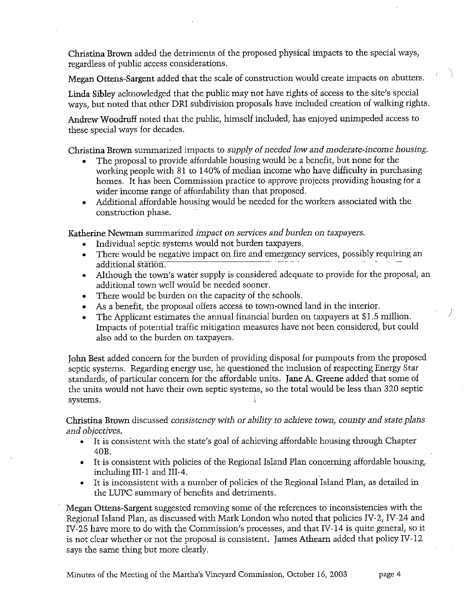Christina Brown added the detriments of the proposed physical impacts to the special ways/ regardless of public access considerations.

Megan Ottens-Sargent added that the scale of construction would create impacts on abutters.

Linda Sibley acknowledged that the public may not have rights of access to the site/s special ways, but noted that other DRI subdivision proposals have included creation of walking rights.

Andrew Woodruff noted that the public, himself included, has enjoyed unimpeded access to these special ways for decades.

Christina Brown summarized impacts to supply of needed low and moderate-income housing.

- The proposal to provide affordable housing would be a benefit, but none for the working people with 81 to 140% of median income who have difficulty in purchasing homes. It has been Commission practice to approve projects providing housing for a wider income range of affordability than that proposed.
- Additional affordable housing would be needed for the workers associated with the construction phase.

Katherine Ncwman summarized impact on services and burden on taxpayers.

- Individual septic systems would not burden taxpayers.
- There would be negative impact on fire and emergency services, possibly requiring an additional station.
- Although the town's water supply is considered adequate to provide for the proposal, an additional town well would be needed sooner.
- There would be burden on the capacity of the schools.
- As a benefit, the proposal offers access to town-owned land in the interior.
- The Applicant estimates the annual financial burden on taxpayers at \$1.5 million. Impacts of potential traffic mitigation measures have not been considered, but could also add to the burden on taxpayers.

John Best added concern for the burden of providing disposal for pumpouts from the proposed septic systems. Regarding energy use, he questioned the inclusion of respecting Energy Star standards, of particular concern for the affordable units. Jane A. Greene added that some of the units would not have their own septic systems, so the total would be less than 320 sept systems. the units would not have their own septic systems, so the total would be less than 320 septic

Christina Brown discussed consistency with or ability to achieve town, county and state plans and objectives.

- It is consistent with the state's goal of achieving affordable housing through Chapter 40B.
- It is consistent with policies of the Regional Island Plan concerning affordable housing, including III-1 and III-4.
- It is inconsistent with a number of policies of the Regional Island Plan, as detailed in the LUPC summary of benefits and detriments.

Megan Ottens-Sargent suggested removing some of the references to inconsistencies with the Regional Island Plan, as discussed with Mark London who noted that policies IV-2, IV-24 and IV-25 have more to do with the Commission's processes, and that IV-14 is quite general, so it is not clear whether or not the proposal is consistent. James Atheam added that policy IV-12 says the same thing but more clearly.

Minutes of the Meeting of the Martha's Vineyard Commission, October 16, 2003 page 4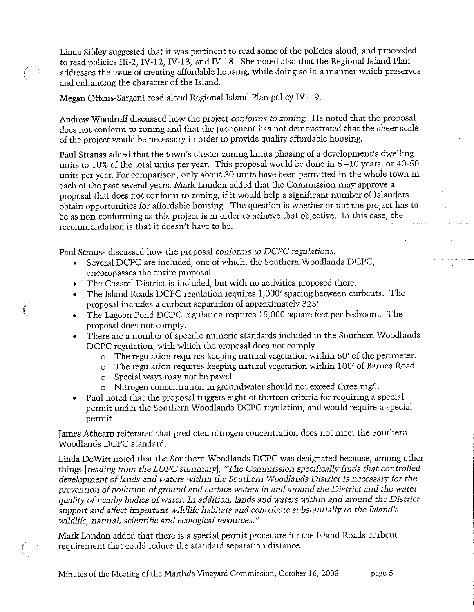Linda Sibley suggested that it was pertinent to read some of the policies aloud, and proceeded to read policies III-2, IV-12, IV-13, and IV-18. She noted also that the Regional Island Plan addresses the issue of creating affordable housing/ while doing so in a manner which preserves and enhancing the character of the Island.

Megan Ottens-Sargent read aloud Regional Island Plan policy IV - 9.

Andrew Woodruff discussed how the project conforms to zoning. He noted that the proposal does not conform to zoning and that the proponent has not demonstrated that the sheer scale of the project would be necessary in order to provide quality affordable housing.

Paul Strauss added that the town's cluster zoning limits phasing of a development's dwelling units to 10% of the total units per year. This proposal would be done in  $6-10$  years, or 40-50 units per year. For comparison, only about 30 units have been permitted in the whole town in each of the past several years. Mark London added that the Commission may approve a proposal that does not conform to zoning, if it would help a significant number of Islanders obtain opportunities for affordable housing. The question is whether or not the project has to be as non-conforming as this project is in order to achieve that objective. In this case, the recommendation is that it doesn/t have to be.

Paul Strauss discussed how the proposal conforms to DCPC regulations.

- Several DCPC are included, one of which, the Southern Woodlands DCPC, encompasses the entire proposal.
- The Coastal District is included, but with no activities proposed there.
- The Island Roads DCPC regulation requires 1/000/ spacing between curbcuts. The proposal includes a curbcut separation of approximately 325/.
- The Lagoon Pond DCPC regulation requires 15/000 square feet per bedroom. The proposal does not comply.
- There are a number of specific numeric standards included in the Southern Woodlands DCPC regulation, with which the proposal does not comply.
	- The regulation requires keeping natural vegetation within 50' of the perimeter.
	- o The regulation requires keeping natural vegetation within 100/ of Barnes Road.
	- o Special ways may hot be paved.
	- o Nitrogen concentration in groundwater should not exceed three mg/L
- Paul noted that the proposal triggers eight of thirteen criteria for requiring a special permit under the Southern Woodlands DCPC regulation, and would require a special permit.

James Atheam reiterated that predicted nitrogen concentration does not meet the Southern Woodlands DCPC standard.

Linda DeWitt noted that the Southern- Woodlands DCPC was designated because, among other things [reading from the LUPC summary], "The Commission specifically finds that controlled development of lands and waters within the Southern Woodlands District is necessary for the prevention of pollution of ground and surface waters in and around the District and the water quality of nearby bodies of water. In addition, lands and waters within and around the District support and affect important wildlife habitats and contribute substantially to the Island's wildlife, natural, scientific and ecological resources."

Mark London added that there is a special permit procedure for the Island Roads curbcut requirement that could reduce the standard separation distance.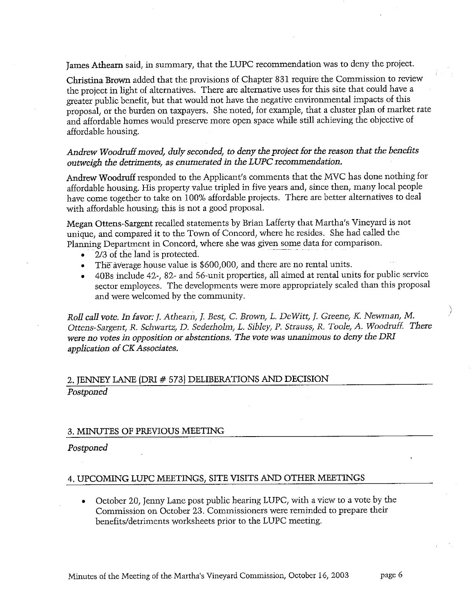James Athearn said, in summary, that the LUPC recommendation was to deny the project.

Christina Brown added that the provisions of Chapter 831 require the Commission to review the project in light of alternatives. There are alternative uses for this site that could have a greater public benefit, but that would not have the negative environmental impacts of this proposal, or the burden on taxpayers. She noted, for example, that a cluster plan of market rate and affordable homes would preserve more open space while still achieving the objective of affordable housing.

## Andrew Woodruff moved, duly seconded, to deny the project for the reason that the benefits outweigh the detriments, as enumerated in the LUPC recommendation.

Andrew Woodruff responded to the Applicant's comments that the MVC has done nothing for affordable housing. His property value tripled in five years and, since then, many local people have come together to take on 100% affordable projects. There are better alternatives to deal with affordable housing; this is not a good proposal.

Megan Ottens-Sargent recalled statements by Brian Lafferty that Martha's Vineyard is not unique, and compared it to the Town of Concord, where he resides. She had called the Planning Department in Concord, where she was given some data for comparison.

- 2/3 of the land is protected.
- The average house value is \$600,000, and there are no rental units.
- 40Bs include 42-/ 82- and 56-unit properties/ all aimed at rental units for public service sector employees. The developments were more appropriately scaled than this proposal and were welcomed by the community.

Roll call vote. In favor: J. Athearn, J. Best, C. Brown, L. DeWitt, J. Greene, K. Newman, M. Ottens-Sargent, R. Schwartz, D. Sederholm, L. Sibley, P. Strauss, R. Toole, A. Woodruff. There were no votes in opposition or abstentions. The vote was unanimous to deny the DRI application of CK Associates.

## 2. JENNEY LANE (DPI # 573) DELIBERATIONS AND DBCISION

Postponed

### 3. MINUTES OF PREVIOUS MEETING

### Postponed

### 4. UPCOMING LUPC MEETINGS, SITE VISITS AND OTHER MEETINGS

• October 20, Jenny Lane post public hearing LUPC/ with a view to a vote by the Commission on October 23. Commissioners were reminded to prepare their benefits/detriments worksheets prior to the LUPC meeting.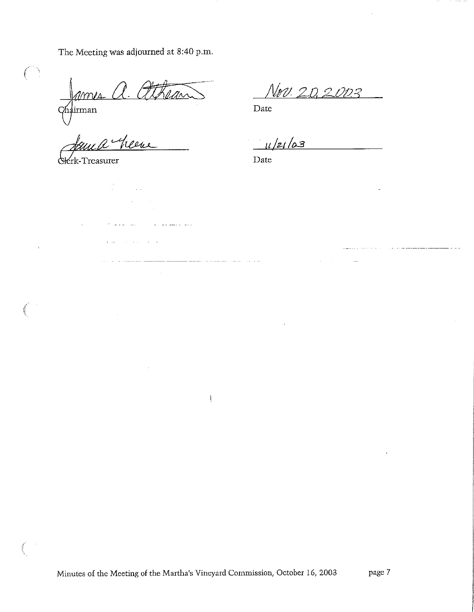The Meeting was adjourned at 8:40 p.m.

 $\ell\!\ell\!\ell\!\ell\!\ell\!\ell\!\ell$ 

 $\label{eq:2} \frac{1}{\sqrt{2}}\left(\frac{1}{\sqrt{2}}\right)^{2} \frac{1}{\sqrt{2}}\left(\frac{1}{\sqrt{2}}\right)^{2}$ 

 $\mu$  , and  $\mu$  , and  $\mu$ 

للمنار الفارق الأ

للمستعمل والمستعمل والمستعمل

 $\mathcal{E}$ 

hairman

 $\bigcup_{i=1}^n$ **Control** 

 $\bar{\rm r}$ 

heene

 $\frac{1}{2}$ 

^rk-Treasurer

Nrv. 20.2003

Date

 $11/21/03$ 

and the company

 $\ddot{\phantom{0}}$ 

and and the state of the state of the

Date